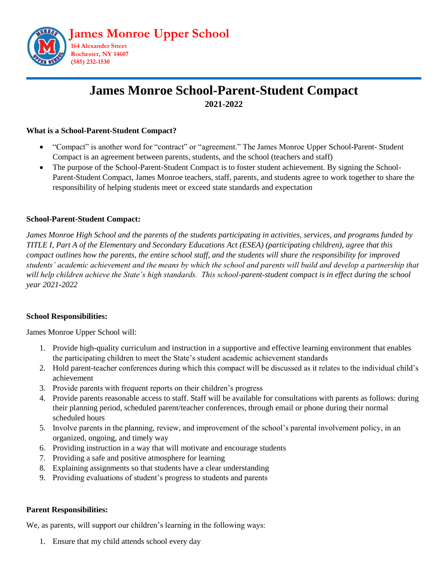

# **James Monroe School-Parent-Student Compact 2021-2022**

## **What is a School-Parent-Student Compact?**

- "Compact" is another word for "contract" or "agreement." The James Monroe Upper School-Parent- Student Compact is an agreement between parents, students, and the school (teachers and staff)
- The purpose of the School-Parent-Student Compact is to foster student achievement. By signing the School-Parent-Student Compact, James Monroe teachers, staff, parents, and students agree to work together to share the responsibility of helping students meet or exceed state standards and expectation

### **School-Parent-Student Compact:**

*James Monroe High School and the parents of the students participating in activities, services, and programs funded by TITLE I, Part A of the Elementary and Secondary Educations Act (ESEA) (participating children), agree that this compact outlines how the parents, the entire school staff, and the students will share the responsibility for improved students' academic achievement and the means by which the school and parents will build and develop a partnership that will help children achieve the State's high standards. This school-parent-student compact is in effect during the school year 2021-2022*

### **School Responsibilities:**

James Monroe Upper School will:

- 1. Provide high-quality curriculum and instruction in a supportive and effective learning environment that enables the participating children to meet the State's student academic achievement standards
- 2. Hold parent-teacher conferences during which this compact will be discussed as it relates to the individual child's achievement
- 3. Provide parents with frequent reports on their children's progress
- 4. Provide parents reasonable access to staff. Staff will be available for consultations with parents as follows: during their planning period, scheduled parent/teacher conferences, through email or phone during their normal scheduled hours
- 5. Involve parents in the planning, review, and improvement of the school's parental involvement policy, in an organized, ongoing, and timely way
- 6. Providing instruction in a way that will motivate and encourage students
- 7. Providing a safe and positive atmosphere for learning
- 8. Explaining assignments so that students have a clear understanding
- 9. Providing evaluations of student's progress to students and parents

### **Parent Responsibilities:**

We, as parents, will support our children's learning in the following ways:

1. Ensure that my child attends school every day